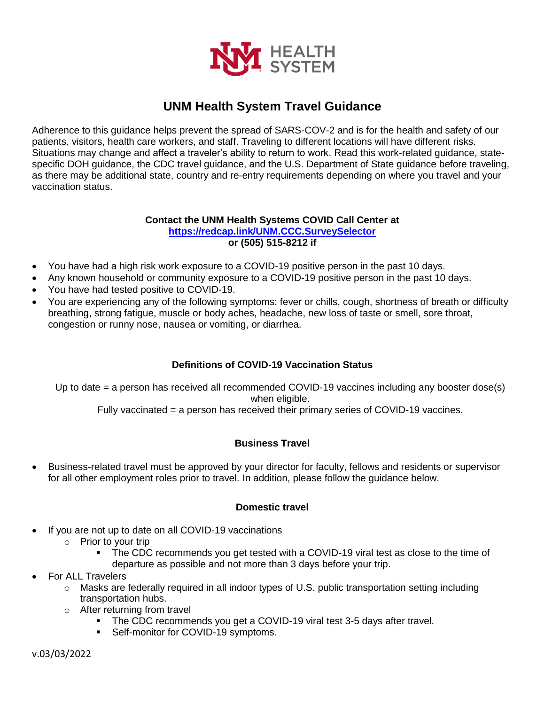

# **UNM Health System Travel Guidance**

Adherence to this guidance helps prevent the spread of SARS-COV-2 and is for the health and safety of our patients, visitors, health care workers, and staff. Traveling to different locations will have different risks. Situations may change and affect a traveler's ability to return to work. Read this work-related guidance, statespecific DOH guidance, the CDC travel guidance, and the U.S. Department of State guidance before traveling, as there may be additional state, country and re-entry requirements depending on where you travel and your vaccination status.

#### **Contact the UNM Health Systems COVID Call Center at <https://redcap.link/UNM.CCC.SurveySelector> or (505) 515-8212 if**

- You have had a high risk work exposure to a COVID-19 positive person in the past 10 days.
- Any known household or community exposure to a COVID-19 positive person in the past 10 days.
- You have had tested positive to COVID-19.
- You are experiencing any of the following symptoms: fever or chills, cough, shortness of breath or difficulty breathing, strong fatigue, muscle or body aches, headache, new loss of taste or smell, sore throat, congestion or runny nose, nausea or vomiting, or diarrhea.

## **Definitions of COVID-19 Vaccination Status**

Up to date = a person has received all recommended COVID-19 vaccines including any booster dose(s) when eligible.

Fully vaccinated = a person has received their primary series of COVID-19 vaccines.

## **Business Travel**

 Business-related travel must be approved by your director for faculty, fellows and residents or supervisor for all other employment roles prior to travel. In addition, please follow the guidance below.

#### **Domestic travel**

- If you are not up to date on all COVID-19 vaccinations
	- $\circ$  Prior to your trip
		- The CDC recommends you get tested with a COVID-19 viral test as close to the time of departure as possible and not more than 3 days before your trip.
- For ALL Travelers
	- o Masks are federally required in all indoor types of U.S. public transportation setting including transportation hubs.
	- o After returning from travel
		- The CDC recommends you get a COVID-19 viral test 3-5 days after travel.
		- **Self-monitor for COVID-19 symptoms.**

v.03/03/2022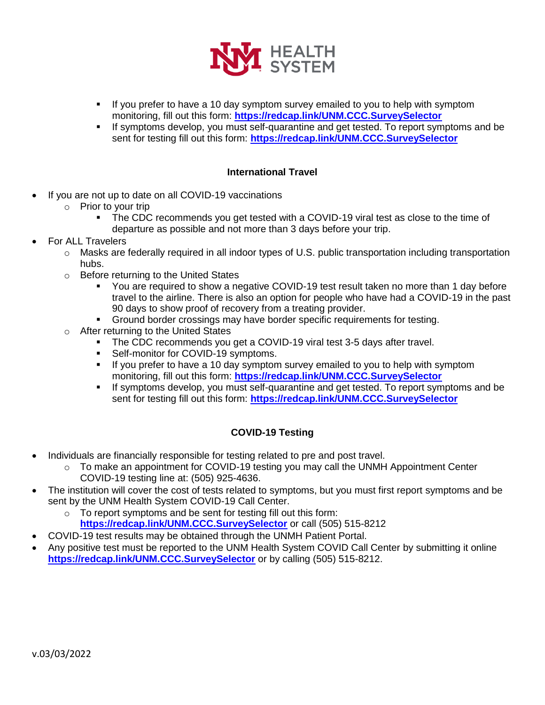

- If you prefer to have a 10 day symptom survey emailed to you to help with symptom monitoring, fill out this form: **<https://redcap.link/UNM.CCC.SurveySelector>**
- If symptoms develop, you must self-quarantine and get tested. To report symptoms and be sent for testing fill out this form: **<https://redcap.link/UNM.CCC.SurveySelector>**

## **International Travel**

- If you are not up to date on all COVID-19 vaccinations
	- $\circ$  Prior to your trip
		- The CDC recommends you get tested with a COVID-19 viral test as close to the time of departure as possible and not more than 3 days before your trip.
- For ALL Travelers
	- $\circ$  Masks are federally required in all indoor types of U.S. public transportation including transportation hubs.
	- o Before returning to the United States
		- You are required to show a negative COVID-19 test result taken no more than 1 day before travel to the airline. There is also an option for people who have had a COVID-19 in the past 90 days to show proof of recovery from a treating provider.
		- Ground border crossings may have border specific requirements for testing.
	- o After returning to the United States
		- The CDC recommends you get a COVID-19 viral test 3-5 days after travel.
		- Self-monitor for COVID-19 symptoms.
		- If you prefer to have a 10 day symptom survey emailed to you to help with symptom monitoring, fill out this form: **<https://redcap.link/UNM.CCC.SurveySelector>**
		- If symptoms develop, you must self-quarantine and get tested. To report symptoms and be sent for testing fill out this form: **<https://redcap.link/UNM.CCC.SurveySelector>**

#### **COVID-19 Testing**

- Individuals are financially responsible for testing related to pre and post travel.
	- $\circ$  To make an appointment for COVID-19 testing you may call the UNMH Appointment Center COVID-19 testing line at: (505) 925-4636.
- The institution will cover the cost of tests related to symptoms, but you must first report symptoms and be sent by the UNM Health System COVID-19 Call Center.
	- o To report symptoms and be sent for testing fill out this form: **<https://redcap.link/UNM.CCC.SurveySelector>** or call (505) 515-8212
- COVID-19 test results may be obtained through the UNMH Patient Portal.
- Any positive test must be reported to the UNM Health System COVID Call Center by submitting it online **<https://redcap.link/UNM.CCC.SurveySelector>** or by calling (505) 515-8212.